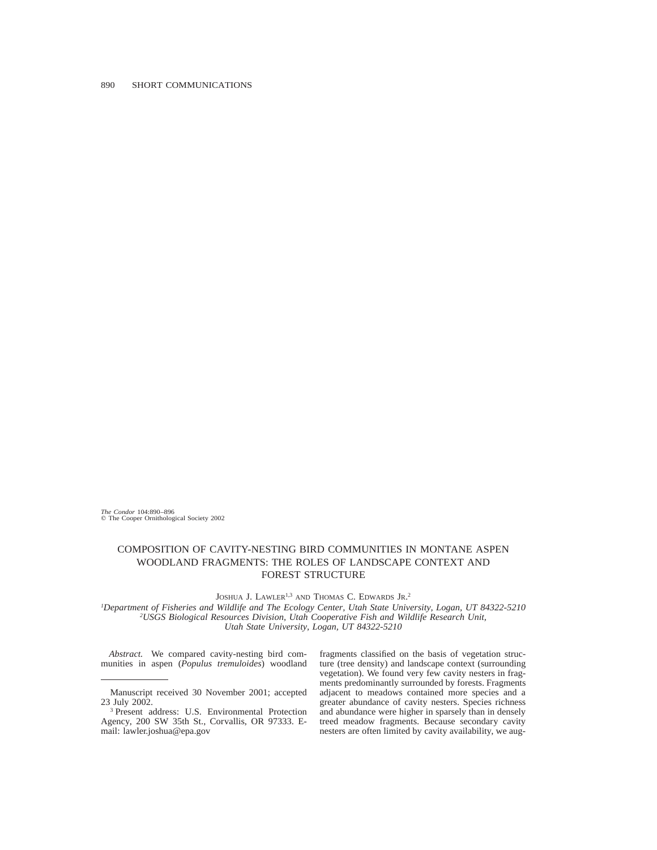*The Condor* 104:890–896  $©$  The Cooper Ornithological Society 2002

# COMPOSITION OF CAVITY-NESTING BIRD COMMUNITIES IN MONTANE ASPEN WOODLAND FRAGMENTS: THE ROLES OF LANDSCAPE CONTEXT AND FOREST STRUCTURE

JOSHUA J. LAWLER<sup>1,3</sup> AND THOMAS C. EDWARDS JR.<sup>2</sup>

*1Department of Fisheries and Wildlife and The Ecology Center, Utah State University, Logan, UT 84322-5210 2USGS Biological Resources Division, Utah Cooperative Fish and Wildlife Research Unit, Utah State University, Logan, UT 84322-5210*

*Abstract.* We compared cavity-nesting bird communities in aspen (*Populus tremuloides*) woodland fragments classified on the basis of vegetation structure (tree density) and landscape context (surrounding vegetation). We found very few cavity nesters in fragments predominantly surrounded by forests. Fragments adjacent to meadows contained more species and a greater abundance of cavity nesters. Species richness and abundance were higher in sparsely than in densely treed meadow fragments. Because secondary cavity nesters are often limited by cavity availability, we aug-

Manuscript received 30 November 2001; accepted 23 July 2002.

<sup>3</sup> Present address: U.S. Environmental Protection Agency, 200 SW 35th St., Corvallis, OR 97333. Email: lawler.joshua@epa.gov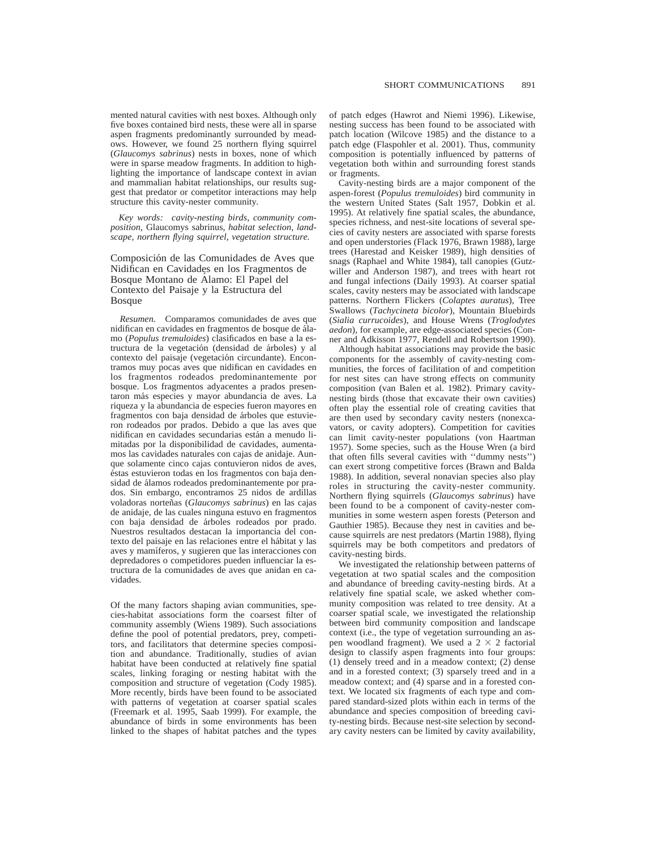mented natural cavities with nest boxes. Although only five boxes contained bird nests, these were all in sparse aspen fragments predominantly surrounded by meadows. However, we found 25 northern flying squirrel (*Glaucomys sabrinus*) nests in boxes, none of which were in sparse meadow fragments. In addition to highlighting the importance of landscape context in avian and mammalian habitat relationships, our results suggest that predator or competitor interactions may help structure this cavity-nester community.

*Key words: cavity-nesting birds, community composition,* Glaucomys sabrinus*, habitat selection, landscape, northern flying squirrel, vegetation structure.*

# Composición de las Comunidades de Aves que Nidifican en Cavidades en los Fragmentos de Bosque Montano de Álamo: El Papel del Contexto del Paisaje y la Estructura del Bosque

*Resumen.* Comparamos comunidades de aves que nidifican en cavidades en fragmentos de bosque de álamo (*Populus tremuloides*) clasificados en base a la estructura de la vegetación (densidad de árboles) y al contexto del paisaje (vegetación circundante). Encontramos muy pocas aves que nidifican en cavidades en los fragmentos rodeados predominantemente por bosque. Los fragmentos adyacentes a prados presentaron más especies y mayor abundancia de aves. La riqueza y la abundancia de especies fueron mayores en fragmentos con baja densidad de árboles que estuvieron rodeados por prados. Debido a que las aves que nidifican en cavidades secundarias están a menudo limitadas por la disponibilidad de cavidades, aumentamos las cavidades naturales con cajas de anidaje. Aunque solamente cinco cajas contuvieron nidos de aves, éstas estuvieron todas en los fragmentos con baja densidad de álamos rodeados predominantemente por prados. Sin embargo, encontramos 25 nidos de ardillas voladoras norteñas (*Glaucomys sabrinus*) en las cajas de anidaje, de las cuales ninguna estuvo en fragmentos con baja densidad de a´rboles rodeados por prado. Nuestros resultados destacan la importancia del contexto del paisaje en las relaciones entre el hábitat y las aves y mamı´feros, y sugieren que las interacciones con depredadores o competidores pueden influenciar la estructura de la comunidades de aves que anidan en cavidades.

Of the many factors shaping avian communities, species-habitat associations form the coarsest filter of community assembly (Wiens 1989). Such associations define the pool of potential predators, prey, competitors, and facilitators that determine species composition and abundance. Traditionally, studies of avian habitat have been conducted at relatively fine spatial scales, linking foraging or nesting habitat with the composition and structure of vegetation (Cody 1985). More recently, birds have been found to be associated with patterns of vegetation at coarser spatial scales (Freemark et al. 1995, Saab 1999). For example, the abundance of birds in some environments has been linked to the shapes of habitat patches and the types

of patch edges (Hawrot and Niemi 1996). Likewise, nesting success has been found to be associated with patch location (Wilcove 1985) and the distance to a patch edge (Flaspohler et al. 2001). Thus, community composition is potentially influenced by patterns of vegetation both within and surrounding forest stands or fragments.

Cavity-nesting birds are a major component of the aspen-forest (*Populus tremuloides*) bird community in the western United States (Salt 1957, Dobkin et al. 1995). At relatively fine spatial scales, the abundance, species richness, and nest-site locations of several species of cavity nesters are associated with sparse forests and open understories (Flack 1976, Brawn 1988), large trees (Harestad and Keisker 1989), high densities of snags (Raphael and White 1984), tall canopies (Gutzwiller and Anderson 1987), and trees with heart rot and fungal infections (Daily 1993). At coarser spatial scales, cavity nesters may be associated with landscape patterns. Northern Flickers (*Colaptes auratus*), Tree Swallows (*Tachycineta bicolor*), Mountain Bluebirds (*Sialia currucoides*), and House Wrens (*Troglodytes aedon*), for example, are edge-associated species (Conner and Adkisson 1977, Rendell and Robertson 1990).

Although habitat associations may provide the basic components for the assembly of cavity-nesting communities, the forces of facilitation of and competition for nest sites can have strong effects on community composition (van Balen et al. 1982). Primary cavitynesting birds (those that excavate their own cavities) often play the essential role of creating cavities that are then used by secondary cavity nesters (nonexcavators, or cavity adopters). Competition for cavities can limit cavity-nester populations (von Haartman 1957). Some species, such as the House Wren (a bird that often fills several cavities with ''dummy nests'') can exert strong competitive forces (Brawn and Balda 1988). In addition, several nonavian species also play roles in structuring the cavity-nester community. Northern flying squirrels (*Glaucomys sabrinus*) have been found to be a component of cavity-nester communities in some western aspen forests (Peterson and Gauthier 1985). Because they nest in cavities and because squirrels are nest predators (Martin 1988), flying squirrels may be both competitors and predators of cavity-nesting birds.

We investigated the relationship between patterns of vegetation at two spatial scales and the composition and abundance of breeding cavity-nesting birds. At a relatively fine spatial scale, we asked whether community composition was related to tree density. At a coarser spatial scale, we investigated the relationship between bird community composition and landscape context (i.e., the type of vegetation surrounding an aspen woodland fragment). We used a  $2 \times 2$  factorial design to classify aspen fragments into four groups: (1) densely treed and in a meadow context; (2) dense and in a forested context; (3) sparsely treed and in a meadow context; and (4) sparse and in a forested context. We located six fragments of each type and compared standard-sized plots within each in terms of the abundance and species composition of breeding cavity-nesting birds. Because nest-site selection by secondary cavity nesters can be limited by cavity availability,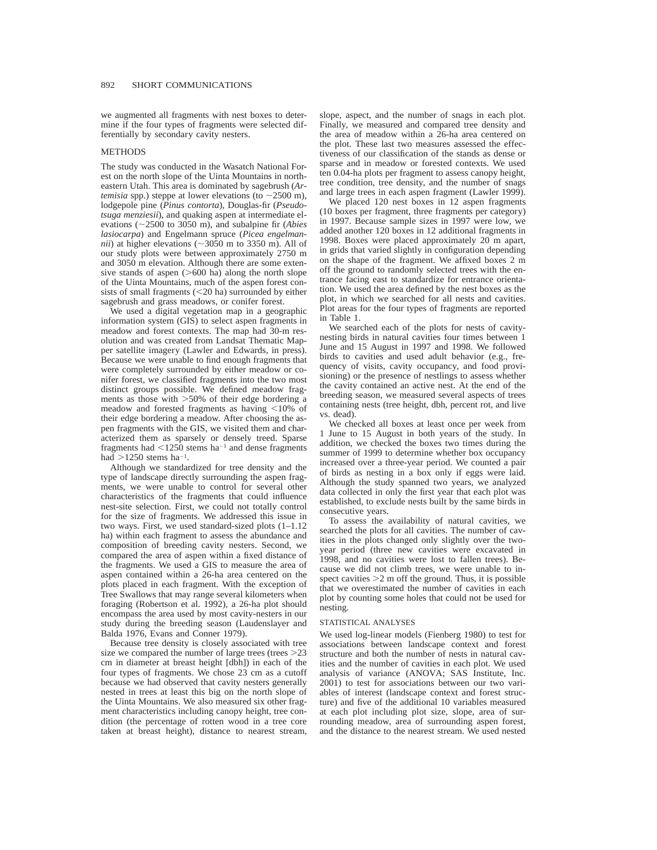we augmented all fragments with nest boxes to determine if the four types of fragments were selected differentially by secondary cavity nesters.

# METHODS

The study was conducted in the Wasatch National Forest on the north slope of the Uinta Mountains in northeastern Utah. This area is dominated by sagebrush (*Artemisia* spp.) steppe at lower elevations (to  $\sim$  2500 m), lodgepole pine (*Pinus contorta*), Douglas-fir (*Pseudotsuga menziesii*), and quaking aspen at intermediate elevations ( $\sim$ 2500 to 3050 m), and subalpine fir (*Abies lasiocarpa*) and Engelmann spruce (*Picea engelmannii*) at higher elevations ( $\sim$ 3050 m to 3350 m). All of our study plots were between approximately 2750 m and 3050 m elevation. Although there are some extensive stands of aspen  $($ >600 ha) along the north slope of the Uinta Mountains, much of the aspen forest consists of small fragments  $(<20 \text{ ha})$  surrounded by either sagebrush and grass meadows, or conifer forest.

We used a digital vegetation map in a geographic information system (GIS) to select aspen fragments in meadow and forest contexts. The map had 30-m resolution and was created from Landsat Thematic Mapper satellite imagery (Lawler and Edwards, in press). Because we were unable to find enough fragments that were completely surrounded by either meadow or conifer forest, we classified fragments into the two most distinct groups possible. We defined meadow fragments as those with  $>50\%$  of their edge bordering a meadow and forested fragments as having  $\leq 10\%$  of their edge bordering a meadow. After choosing the aspen fragments with the GIS, we visited them and characterized them as sparsely or densely treed. Sparse fragments had  $\leq 1250$  stems ha<sup>-1</sup> and dense fragments had  $>1250$  stems ha<sup>-1</sup>.

Although we standardized for tree density and the type of landscape directly surrounding the aspen fragments, we were unable to control for several other characteristics of the fragments that could influence nest-site selection. First, we could not totally control for the size of fragments. We addressed this issue in two ways. First, we used standard-sized plots (1–1.12 ha) within each fragment to assess the abundance and composition of breeding cavity nesters. Second, we compared the area of aspen within a fixed distance of the fragments. We used a GIS to measure the area of aspen contained within a 26-ha area centered on the plots placed in each fragment. With the exception of Tree Swallows that may range several kilometers when foraging (Robertson et al. 1992), a 26-ha plot should encompass the area used by most cavity-nesters in our study during the breeding season (Laudenslayer and Balda 1976, Evans and Conner 1979).

Because tree density is closely associated with tree size we compared the number of large trees (trees  $>23$ ) cm in diameter at breast height [dbh]) in each of the four types of fragments. We chose 23 cm as a cutoff because we had observed that cavity nesters generally nested in trees at least this big on the north slope of the Uinta Mountains. We also measured six other fragment characteristics including canopy height, tree condition (the percentage of rotten wood in a tree core taken at breast height), distance to nearest stream, slope, aspect, and the number of snags in each plot. Finally, we measured and compared tree density and the area of meadow within a 26-ha area centered on the plot. These last two measures assessed the effectiveness of our classification of the stands as dense or sparse and in meadow or forested contexts. We used ten 0.04-ha plots per fragment to assess canopy height, tree condition, tree density, and the number of snags and large trees in each aspen fragment (Lawler 1999).

We placed 120 nest boxes in 12 aspen fragments (10 boxes per fragment, three fragments per category) in 1997. Because sample sizes in 1997 were low, we added another 120 boxes in 12 additional fragments in 1998. Boxes were placed approximately 20 m apart, in grids that varied slightly in configuration depending on the shape of the fragment. We affixed boxes 2 m off the ground to randomly selected trees with the entrance facing east to standardize for entrance orientation. We used the area defined by the nest boxes as the plot, in which we searched for all nests and cavities. Plot areas for the four types of fragments are reported in Table 1.

We searched each of the plots for nests of cavitynesting birds in natural cavities four times between 1 June and 15 August in 1997 and 1998. We followed birds to cavities and used adult behavior (e.g., frequency of visits, cavity occupancy, and food provisioning) or the presence of nestlings to assess whether the cavity contained an active nest. At the end of the breeding season, we measured several aspects of trees containing nests (tree height, dbh, percent rot, and live vs. dead).

We checked all boxes at least once per week from 1 June to 15 August in both years of the study. In addition, we checked the boxes two times during the summer of 1999 to determine whether box occupancy increased over a three-year period. We counted a pair of birds as nesting in a box only if eggs were laid. Although the study spanned two years, we analyzed data collected in only the first year that each plot was established, to exclude nests built by the same birds in consecutive years.

To assess the availability of natural cavities, we searched the plots for all cavities. The number of cavities in the plots changed only slightly over the twoyear period (three new cavities were excavated in 1998, and no cavities were lost to fallen trees). Because we did not climb trees, we were unable to inspect cavities  $>2$  m off the ground. Thus, it is possible that we overestimated the number of cavities in each plot by counting some holes that could not be used for nesting.

#### STATISTICAL ANALYSES

We used log-linear models (Fienberg 1980) to test for associations between landscape context and forest structure and both the number of nests in natural cavities and the number of cavities in each plot. We used analysis of variance (ANOVA; SAS Institute, Inc. 2001) to test for associations between our two variables of interest (landscape context and forest structure) and five of the additional 10 variables measured at each plot including plot size, slope, area of surrounding meadow, area of surrounding aspen forest, and the distance to the nearest stream. We used nested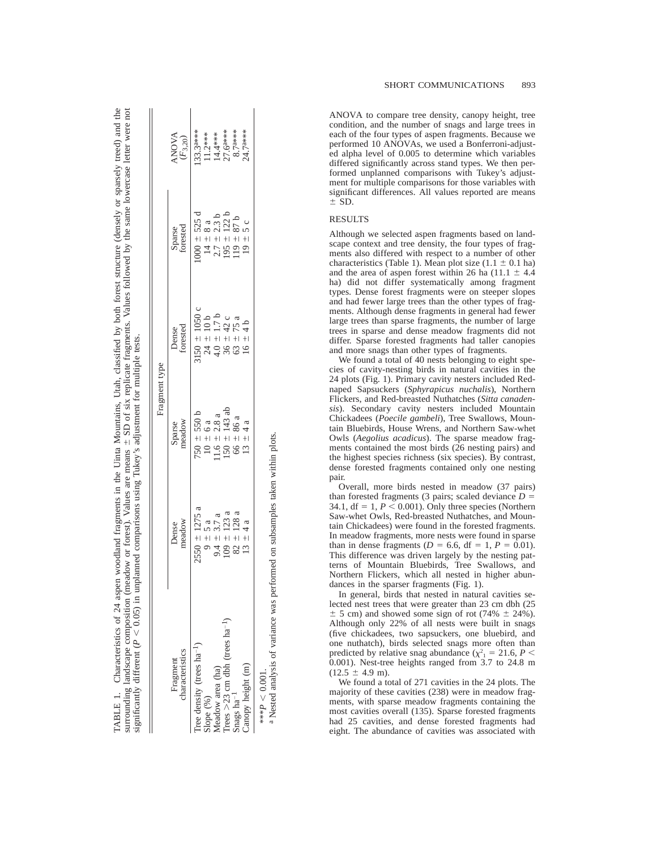|                                              |                   | Fragment type                    |                                                       |                    |                                        |
|----------------------------------------------|-------------------|----------------------------------|-------------------------------------------------------|--------------------|----------------------------------------|
| characteristics<br>Fragment                  | meadow<br>Dense   | Sparse<br>meadow                 | Dense<br>forested                                     | Sparse<br>forested | <b>ANOVA</b><br>$(\mathcal{F}_{3,20})$ |
| Tree density (trees $ha^{-1}$ )              | $2550 \pm 1275$ a | $750 \pm 550$ b                  |                                                       | $000 = 525 d$      | 33.3a***                               |
| Slope (%)                                    | $9 \pm 5$ a       | $10 \pm 6$ a<br>11.6 $\pm$ 2.8 a | $3150 \pm 1050$ c<br>$24 \pm 10$ b<br>$4.0 \pm 1.7$ b | $14 \pm 8$ a       |                                        |
| Meadow area (ha)                             | $9.4 \pm 3.7 a$   |                                  |                                                       | $2.7 \pm 2.3$ b    | $11.2***$<br>$14.4***$                 |
| Trees $>23$ cm dbh (trees ha <sup>-1</sup> ) | $109 \pm 123$ a   | $50 \pm 143$ ab                  |                                                       | $195 \pm 122$ b    | 27.6 <sup>a***</sup>                   |
| Snags $ha^{-1}$                              | $82 \pm 128$ a    |                                  | $36 \pm 42$ c<br>63 ± 75 a                            | $19 \pm 87$ b      | $8.7^{a***}$                           |
| Canopy height (m)                            | $13 \pm 4a$       | $66 \pm 86$ a<br>13 $\pm 4$ a    | $16 \pm 4$ b                                          | $19 \pm 5c$        | 24.7a***                               |
| *** $P < 0.001$ .                            |                   |                                  |                                                       |                    |                                        |

TABLE 1. Characteristics of 24 aspen woodland fragments in the Uinta Mountains, Utah, classified by both forest structure (densely or sparsely treed) and the surrounding landscape composition (meadow or forest). Values are means  $\pm$  SD of six replicate fragments. Values followed by the same lowercase letter were not

TABLE 1.

Characteristics of 24 aspen woodland fragments in the Uinta Mountains, Utah, classified by both forest structure (densely or sparsely treed) and the

<sup>a</sup> Nested analysis of variance was performed on subsamples taken within plots. Nested analysis of variance was performed on subsamples taken within plots.

ANOVA to compare tree density, canopy height, tree condition, and the number of snags and large trees in each of the four types of aspen fragments. Because we performed 10 ANOVAs, we used a Bonferroni-adjusted alpha level of 0.005 to determine which variables differed significantly across stand types. We then performed unplanned comparisons with Tukey's adjustment for multiple comparisons for those variables with significant differences. All values reported are means  $\pm$  SD.

# RESULTS

Although we selected aspen fragments based on landscape context and tree density, the four types of fragments also differed with respect to a number of other characteristics (Table 1). Mean plot size  $(1.1 \pm 0.1 \text{ ha})$ and the area of aspen forest within 26 ha  $(11.1 \pm 4.4)$ ha) did not differ systematically among fragment types. Dense forest fragments were on steeper slopes and had fewer large trees than the other types of fragments. Although dense fragments in general had fewer large trees than sparse fragments, the number of large trees in sparse and dense meadow fragments did not differ. Sparse forested fragments had taller canopies and more snags than other types of fragments.

We found a total of 40 nests belonging to eight species of cavity-nesting birds in natural cavities in the 24 plots (Fig. 1). Primary cavity nesters included Rednaped Sapsuckers (*Sphyrapicus nuchalis*), Northern Flickers, and Red-breasted Nuthatches (*Sitta canadensis*). Secondary cavity nesters included Mountain Chickadees (*Poecile gambeli*), Tree Swallows, Mountain Bluebirds, House Wrens, and Northern Saw-whet Owls (*Aegolius acadicus*). The sparse meadow fragments contained the most birds (26 nesting pairs) and the highest species richness (six species). By contrast, dense forested fragments contained only one nesting pair.

Overall, more birds nested in meadow (37 pairs) than forested fragments (3 pairs; scaled deviance  $D =$ 34.1,  $df = 1$ ,  $P < 0.001$ ). Only three species (Northern Saw-whet Owls, Red-breasted Nuthatches, and Mountain Chickadees) were found in the forested fragments. In meadow fragments, more nests were found in sparse than in dense fragments ( $D = 6.6$ , df = 1,  $P = 0.01$ ). This difference was driven largely by the nesting patterns of Mountain Bluebirds, Tree Swallows, and Northern Flickers, which all nested in higher abundances in the sparser fragments (Fig. 1).

In general, birds that nested in natural cavities selected nest trees that were greater than 23 cm dbh (25  $\pm$  5 cm) and showed some sign of rot (74%  $\pm$  24%). Although only 22% of all nests were built in snags (five chickadees, two sapsuckers, one bluebird, and one nuthatch), birds selected snags more often than predicted by relative snag abundance ( $\chi^2$ <sub>1</sub> = 21.6, *P* < 0.001). Nest-tree heights ranged from 3.7 to 24.8 m  $(12.5 \pm 4.9 \text{ m}).$ 

We found a total of 271 cavities in the 24 plots. The majority of these cavities (238) were in meadow fragments, with sparse meadow fragments containing the most cavities overall (135). Sparse forested fragments had 25 cavities, and dense forested fragments had eight. The abundance of cavities was associated with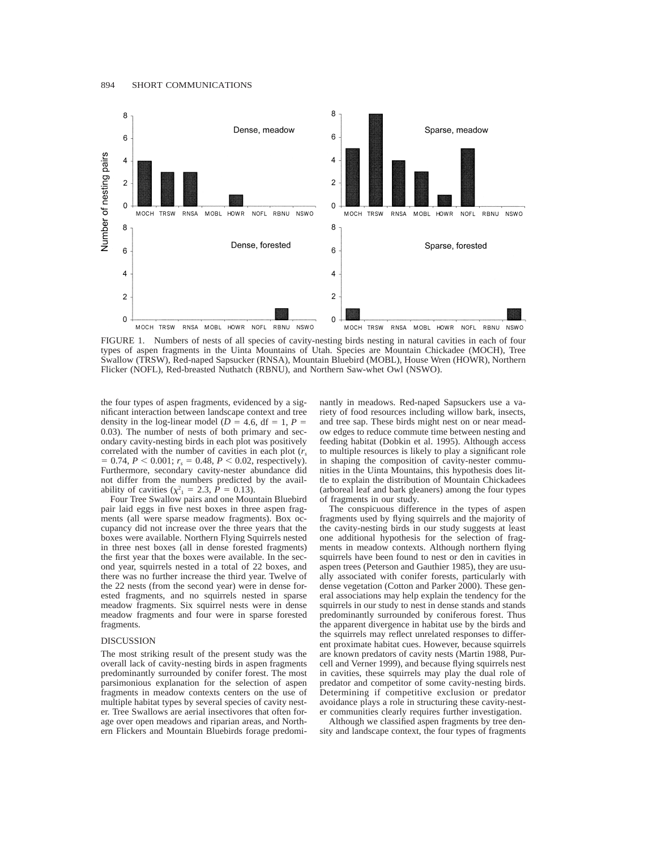

FIGURE 1. Numbers of nests of all species of cavity-nesting birds nesting in natural cavities in each of four types of aspen fragments in the Uinta Mountains of Utah. Species are Mountain Chickadee (MOCH), Tree Swallow (TRSW), Red-naped Sapsucker (RNSA), Mountain Bluebird (MOBL), House Wren (HOWR), Northern Flicker (NOFL), Red-breasted Nuthatch (RBNU), and Northern Saw-whet Owl (NSWO).

the four types of aspen fragments, evidenced by a significant interaction between landscape context and tree density in the log-linear model ( $D = 4.6$ , df = 1,  $P =$ 0.03). The number of nests of both primary and secondary cavity-nesting birds in each plot was positively correlated with the number of cavities in each plot (*rs*  $= 0.74, P < 0.001; r_s = 0.48, P < 0.02$ , respectively). Furthermore, secondary cavity-nester abundance did not differ from the numbers predicted by the availability of cavities ( $\chi^2 = 2.3$ ,  $P = 0.13$ ).

Four Tree Swallow pairs and one Mountain Bluebird pair laid eggs in five nest boxes in three aspen fragments (all were sparse meadow fragments). Box occupancy did not increase over the three years that the boxes were available. Northern Flying Squirrels nested in three nest boxes (all in dense forested fragments) the first year that the boxes were available. In the second year, squirrels nested in a total of 22 boxes, and there was no further increase the third year. Twelve of the 22 nests (from the second year) were in dense forested fragments, and no squirrels nested in sparse meadow fragments. Six squirrel nests were in dense meadow fragments and four were in sparse forested fragments.

#### DISCUSSION

The most striking result of the present study was the overall lack of cavity-nesting birds in aspen fragments predominantly surrounded by conifer forest. The most parsimonious explanation for the selection of aspen fragments in meadow contexts centers on the use of multiple habitat types by several species of cavity nester. Tree Swallows are aerial insectivores that often forage over open meadows and riparian areas, and Northern Flickers and Mountain Bluebirds forage predominantly in meadows. Red-naped Sapsuckers use a variety of food resources including willow bark, insects, and tree sap. These birds might nest on or near meadow edges to reduce commute time between nesting and feeding habitat (Dobkin et al. 1995). Although access to multiple resources is likely to play a significant role in shaping the composition of cavity-nester communities in the Uinta Mountains, this hypothesis does little to explain the distribution of Mountain Chickadees (arboreal leaf and bark gleaners) among the four types of fragments in our study.

The conspicuous difference in the types of aspen fragments used by flying squirrels and the majority of the cavity-nesting birds in our study suggests at least one additional hypothesis for the selection of fragments in meadow contexts. Although northern flying squirrels have been found to nest or den in cavities in aspen trees (Peterson and Gauthier 1985), they are usually associated with conifer forests, particularly with dense vegetation (Cotton and Parker 2000). These general associations may help explain the tendency for the squirrels in our study to nest in dense stands and stands predominantly surrounded by coniferous forest. Thus the apparent divergence in habitat use by the birds and the squirrels may reflect unrelated responses to different proximate habitat cues. However, because squirrels are known predators of cavity nests (Martin 1988, Purcell and Verner 1999), and because flying squirrels nest in cavities, these squirrels may play the dual role of predator and competitor of some cavity-nesting birds. Determining if competitive exclusion or predator avoidance plays a role in structuring these cavity-nester communities clearly requires further investigation.

Although we classified aspen fragments by tree density and landscape context, the four types of fragments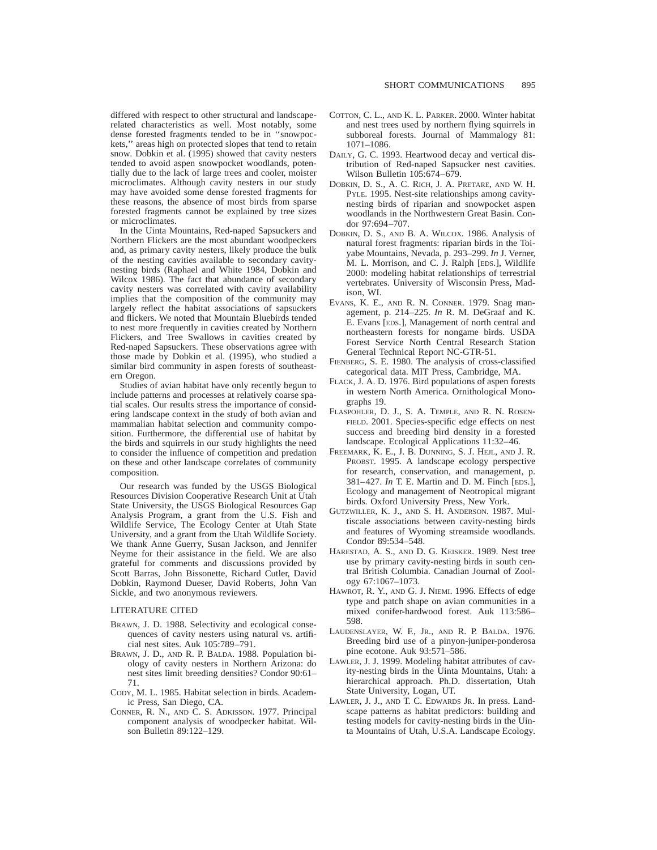differed with respect to other structural and landscaperelated characteristics as well. Most notably, some dense forested fragments tended to be in ''snowpockets,'' areas high on protected slopes that tend to retain snow. Dobkin et al. (1995) showed that cavity nesters tended to avoid aspen snowpocket woodlands, potentially due to the lack of large trees and cooler, moister microclimates. Although cavity nesters in our study may have avoided some dense forested fragments for these reasons, the absence of most birds from sparse forested fragments cannot be explained by tree sizes or microclimates.

In the Uinta Mountains, Red-naped Sapsuckers and Northern Flickers are the most abundant woodpeckers and, as primary cavity nesters, likely produce the bulk of the nesting cavities available to secondary cavitynesting birds (Raphael and White 1984, Dobkin and Wilcox 1986). The fact that abundance of secondary cavity nesters was correlated with cavity availability implies that the composition of the community may largely reflect the habitat associations of sapsuckers and flickers. We noted that Mountain Bluebirds tended to nest more frequently in cavities created by Northern Flickers, and Tree Swallows in cavities created by Red-naped Sapsuckers. These observations agree with those made by Dobkin et al. (1995), who studied a similar bird community in aspen forests of southeastern Oregon.

Studies of avian habitat have only recently begun to include patterns and processes at relatively coarse spatial scales. Our results stress the importance of considering landscape context in the study of both avian and mammalian habitat selection and community composition. Furthermore, the differential use of habitat by the birds and squirrels in our study highlights the need to consider the influence of competition and predation on these and other landscape correlates of community composition.

Our research was funded by the USGS Biological Resources Division Cooperative Research Unit at Utah State University, the USGS Biological Resources Gap Analysis Program, a grant from the U.S. Fish and Wildlife Service, The Ecology Center at Utah State University, and a grant from the Utah Wildlife Society. We thank Anne Guerry, Susan Jackson, and Jennifer Neyme for their assistance in the field. We are also grateful for comments and discussions provided by Scott Barras, John Bissonette, Richard Cutler, David Dobkin, Raymond Dueser, David Roberts, John Van Sickle, and two anonymous reviewers.

### LITERATURE CITED

- BRAWN, J. D. 1988. Selectivity and ecological consequences of cavity nesters using natural vs. artificial nest sites. Auk 105:789–791.
- BRAWN, J. D., AND R. P. BALDA. 1988. Population biology of cavity nesters in Northern Arizona: do nest sites limit breeding densities? Condor 90:61– 71.
- CODY, M. L. 1985. Habitat selection in birds. Academic Press, San Diego, CA.
- CONNER, R. N., AND C. S. ADKISSON. 1977. Principal component analysis of woodpecker habitat. Wilson Bulletin 89:122–129.
- COTTON, C. L., AND K. L. PARKER. 2000. Winter habitat and nest trees used by northern flying squirrels in subboreal forests. Journal of Mammalogy 81: 1071–1086.
- DAILY, G. C. 1993. Heartwood decay and vertical distribution of Red-naped Sapsucker nest cavities. Wilson Bulletin 105:674–679.
- DOBKIN, D. S., A. C. RICH, J. A. PRETARE, AND W. H. PYLE. 1995. Nest-site relationships among cavitynesting birds of riparian and snowpocket aspen woodlands in the Northwestern Great Basin. Condor 97:694–707.
- DOBKIN, D. S., AND B. A. WILCOX. 1986. Analysis of natural forest fragments: riparian birds in the Toiyabe Mountains, Nevada, p. 293–299. *In* J. Verner, M. L. Morrison, and C. J. Ralph [EDS.], Wildlife 2000: modeling habitat relationships of terrestrial vertebrates. University of Wisconsin Press, Madison, WI.
- EVANS, K. E., AND R. N. CONNER. 1979. Snag management, p. 214–225. *In* R. M. DeGraaf and K. E. Evans [EDS.], Management of north central and northeastern forests for nongame birds. USDA Forest Service North Central Research Station General Technical Report NC-GTR-51.
- FIENBERG, S. E. 1980. The analysis of cross-classified categorical data. MIT Press, Cambridge, MA.
- FLACK, J. A. D. 1976. Bird populations of aspen forests in western North America. Ornithological Monographs 19.
- FLASPOHLER, D. J., S. A. TEMPLE, AND R. N. ROSEN-FIELD. 2001. Species-specific edge effects on nest success and breeding bird density in a forested landscape. Ecological Applications 11:32–46.
- FREEMARK, K. E., J. B. DUNNING, S. J. HEJL, AND J. R. PROBST. 1995. A landscape ecology perspective for research, conservation, and management, p. 381–427. *In* T. E. Martin and D. M. Finch [EDS.], Ecology and management of Neotropical migrant birds. Oxford University Press, New York.
- GUTZWILLER, K. J., AND S. H. ANDERSON. 1987. Multiscale associations between cavity-nesting birds and features of Wyoming streamside woodlands. Condor 89:534–548.
- HARESTAD, A. S., AND D. G. KEISKER. 1989. Nest tree use by primary cavity-nesting birds in south central British Columbia. Canadian Journal of Zoology 67:1067–1073.
- HAWROT, R. Y., AND G. J. NIEMI. 1996. Effects of edge type and patch shape on avian communities in a mixed conifer-hardwood forest. Auk 113:586– 598.
- LAUDENSLAYER, W. F., JR., AND R. P. BALDA. 1976. Breeding bird use of a pinyon-juniper-ponderosa pine ecotone. Auk 93:571–586.
- LAWLER, J. J. 1999. Modeling habitat attributes of cavity-nesting birds in the Uinta Mountains, Utah: a hierarchical approach. Ph.D. dissertation, Utah State University, Logan, UT.
- LAWLER, J. J., AND T. C. EDWARDS JR. In press. Landscape patterns as habitat predictors: building and testing models for cavity-nesting birds in the Uinta Mountains of Utah, U.S.A. Landscape Ecology.